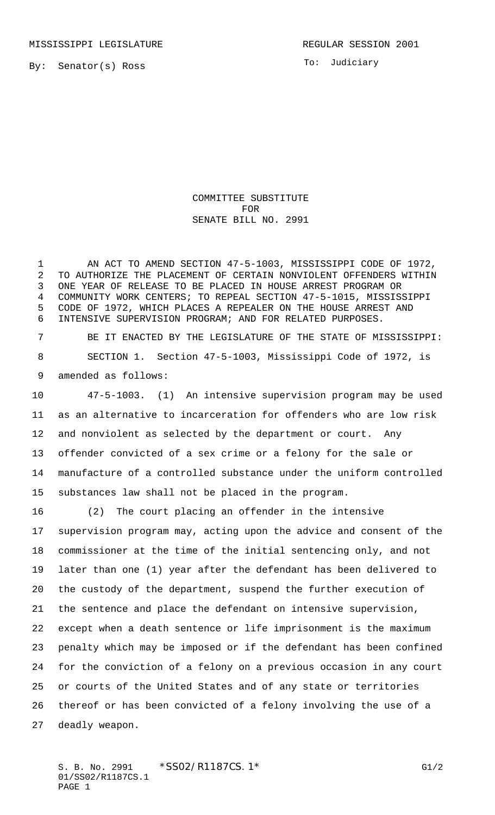To: Judiciary

COMMITTEE SUBSTITUTE FOR SENATE BILL NO. 2991

1 AN ACT TO AMEND SECTION 47-5-1003, MISSISSIPPI CODE OF 1972, TO AUTHORIZE THE PLACEMENT OF CERTAIN NONVIOLENT OFFENDERS WITHIN ONE YEAR OF RELEASE TO BE PLACED IN HOUSE ARREST PROGRAM OR COMMUNITY WORK CENTERS; TO REPEAL SECTION 47-5-1015, MISSISSIPPI CODE OF 1972, WHICH PLACES A REPEALER ON THE HOUSE ARREST AND INTENSIVE SUPERVISION PROGRAM; AND FOR RELATED PURPOSES.

 BE IT ENACTED BY THE LEGISLATURE OF THE STATE OF MISSISSIPPI: SECTION 1. Section 47-5-1003, Mississippi Code of 1972, is amended as follows:

 47-5-1003. (1) An intensive supervision program may be used as an alternative to incarceration for offenders who are low risk and nonviolent as selected by the department or court. Any offender convicted of a sex crime or a felony for the sale or manufacture of a controlled substance under the uniform controlled substances law shall not be placed in the program.

 (2) The court placing an offender in the intensive supervision program may, acting upon the advice and consent of the commissioner at the time of the initial sentencing only, and not later than one (1) year after the defendant has been delivered to the custody of the department, suspend the further execution of the sentence and place the defendant on intensive supervision, except when a death sentence or life imprisonment is the maximum penalty which may be imposed or if the defendant has been confined for the conviction of a felony on a previous occasion in any court or courts of the United States and of any state or territories thereof or has been convicted of a felony involving the use of a deadly weapon.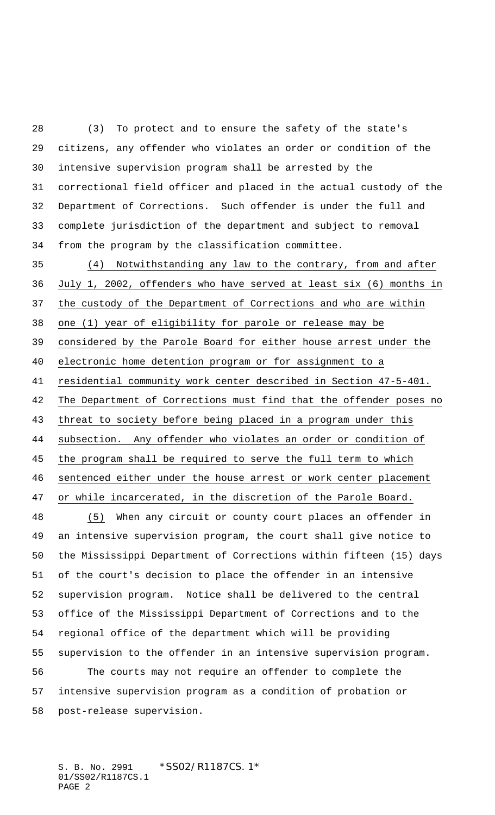(3) To protect and to ensure the safety of the state's citizens, any offender who violates an order or condition of the intensive supervision program shall be arrested by the correctional field officer and placed in the actual custody of the Department of Corrections. Such offender is under the full and complete jurisdiction of the department and subject to removal from the program by the classification committee.

 (4) Notwithstanding any law to the contrary, from and after July 1, 2002, offenders who have served at least six (6) months in the custody of the Department of Corrections and who are within one (1) year of eligibility for parole or release may be considered by the Parole Board for either house arrest under the electronic home detention program or for assignment to a residential community work center described in Section 47-5-401. The Department of Corrections must find that the offender poses no threat to society before being placed in a program under this subsection. Any offender who violates an order or condition of the program shall be required to serve the full term to which sentenced either under the house arrest or work center placement or while incarcerated, in the discretion of the Parole Board.

 (5) When any circuit or county court places an offender in an intensive supervision program, the court shall give notice to the Mississippi Department of Corrections within fifteen (15) days of the court's decision to place the offender in an intensive supervision program. Notice shall be delivered to the central office of the Mississippi Department of Corrections and to the regional office of the department which will be providing supervision to the offender in an intensive supervision program. The courts may not require an offender to complete the intensive supervision program as a condition of probation or post-release supervision.

S. B. No. 2991 \* SS02/R1187CS.1\* 01/SS02/R1187CS.1 PAGE 2